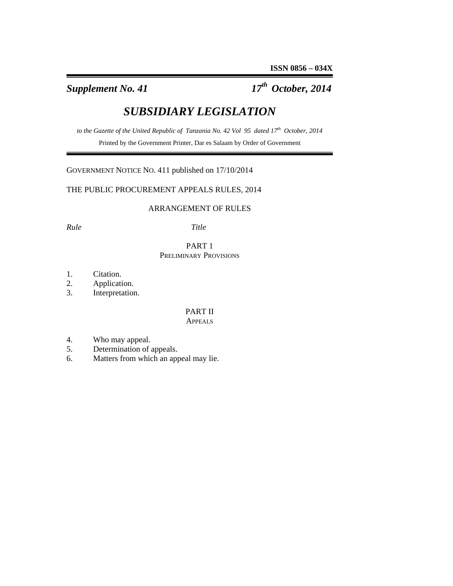*Supplement No. 41 17th October, 2014* 

# *SUBSIDIARY LEGISLATION*

to the Gazette of the United Republic of Tanzania No. 42 Vol 95 dated 17<sup>th</sup> October, 2014 Printed by the Government Printer, Dar es Salaam by Order of Government

GOVERNMENT NOTICE NO. 411 published on 17/10/2014

THE PUBLIC PROCUREMENT APPEALS RULES, 2014

# ARRANGEMENT OF RULES

*Rule Title*

## PART 1 PRELIMINARY PROVISIONS

- 1. Citation.
- 2. Application.
- 3. Interpretation.

# PART II

# APPEALS

- 4. Who may appeal.
- 5. Determination of appeals.
- 6. Matters from which an appeal may lie.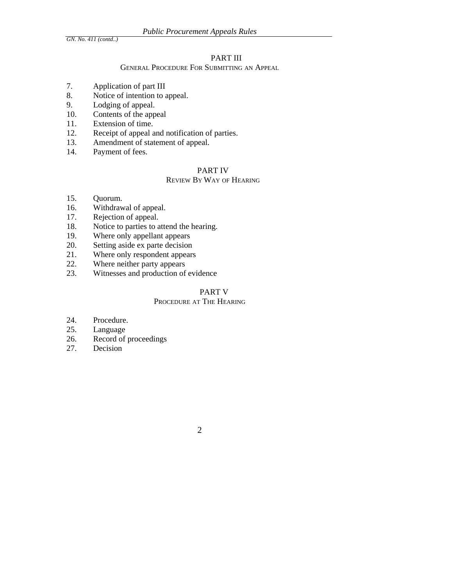## PART III

#### GENERAL PROCEDURE FOR SUBMITTING AN APPEAL

- 7. Application of part III
- 8. Notice of intention to appeal.
- 9. Lodging of appeal.
- 10. Contents of the appeal
- 11. Extension of time.
- 12. Receipt of appeal and notification of parties.
- 13. Amendment of statement of appeal.
- 14. Payment of fees.

## PART IV

## REVIEW BY WAY OF HEARING

- 15. Quorum.
- 16. Withdrawal of appeal.
- 17. Rejection of appeal.
- 18. Notice to parties to attend the hearing.
- 19. Where only appellant appears
- 20. Setting aside ex parte decision
- 21. Where only respondent appears
- 22. Where neither party appears<br>23. Witnesses and production of
- Witnesses and production of evidence

#### PART V

## PROCEDURE AT THE HEARING

- 24. Procedure.
- 25. Language
- 26. Record of proceedings
- 27. Decision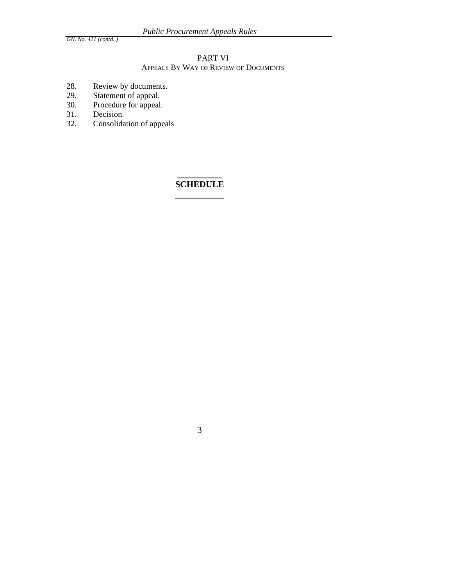# PART VI

# APPEALS BY WAY OF REVIEW OF DOCUMENTS

- 28. Review by documents.<br>29. Statement of appeal.
- 29. Statement of appeal.
- 30. Procedure for appeal.
- 31. Decision.
- 32. Consolidation of appeals

# **\_\_\_\_\_\_\_\_\_\_ SCHEDULE \_\_\_\_\_\_\_\_\_\_\_**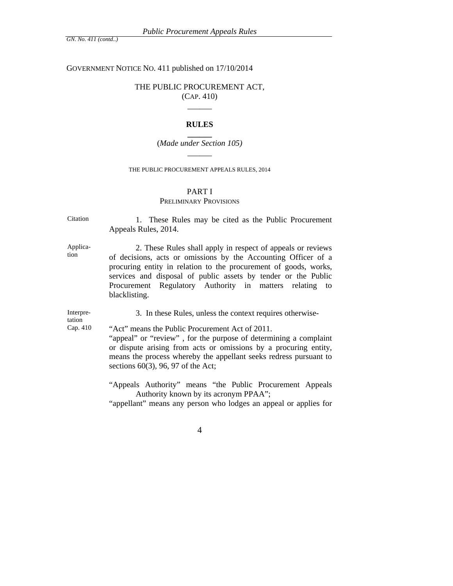#### GOVERNMENT NOTICE NO. 411 published on 17/10/2014

# THE PUBLIC PROCUREMENT ACT,

(CAP. 410)  $\overline{\phantom{a}}$ 

#### **RULES**

**\_\_\_\_\_\_**  (*Made under Section 105)*   $\overline{\phantom{a}}$ 

#### THE PUBLIC PROCUREMENT APPEALS RULES, 2014

### PART I

### PRELIMINARY PROVISIONS

Citation 1. These Rules may be cited as the Public Procurement Appeals Rules, 2014.

Application

 2. These Rules shall apply in respect of appeals or reviews of decisions, acts or omissions by the Accounting Officer of a procuring entity in relation to the procurement of goods, works, services and disposal of public assets by tender or the Public Procurement Regulatory Authority in matters relating to blacklisting.

Interpre-Interpre-<br>3. In these Rules, unless the context requires otherwise-<br>tation

Cap. 410 "Act" means the Public Procurement Act of 2011.

"appeal" or "review", for the purpose of determining a complaint or dispute arising from acts or omissions by a procuring entity, means the process whereby the appellant seeks redress pursuant to sections 60(3), 96, 97 of the Act;

"Appeals Authority" means "the Public Procurement Appeals Authority known by its acronym PPAA";

"appellant" means any person who lodges an appeal or applies for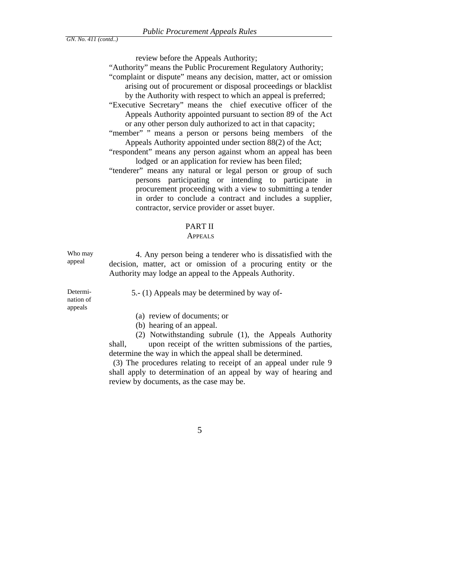review before the Appeals Authority;

"Authority" means the Public Procurement Regulatory Authority;

"complaint or dispute" means any decision, matter, act or omission arising out of procurement or disposal proceedings or blacklist by the Authority with respect to which an appeal is preferred;

- "Executive Secretary" means the chief executive officer of the Appeals Authority appointed pursuant to section 89 of the Act or any other person duly authorized to act in that capacity;
- "member" " means a person or persons being members of the Appeals Authority appointed under section 88(2) of the Act;
- "respondent" means any person against whom an appeal has been lodged or an application for review has been filed;
- "tenderer" means any natural or legal person or group of such persons participating or intending to participate in procurement proceeding with a view to submitting a tender in order to conclude a contract and includes a supplier, contractor, service provider or asset buyer.

#### PART II

#### APPEALS

Who may Who may  $\begin{array}{c} 4. \text{ Any person being a tendency who is dissatisfied with the appeal} \end{array}$ decision, matter, act or omission of a procuring entity or the Authority may lodge an appeal to the Appeals Authority.

Determination of appeals

5.- (1) Appeals may be determined by way of-

- (a) review of documents; or
- (b) hearing of an appeal.

 (2) Notwithstanding subrule (1), the Appeals Authority shall, upon receipt of the written submissions of the parties, determine the way in which the appeal shall be determined.

 (3) The procedures relating to receipt of an appeal under rule 9 shall apply to determination of an appeal by way of hearing and review by documents, as the case may be.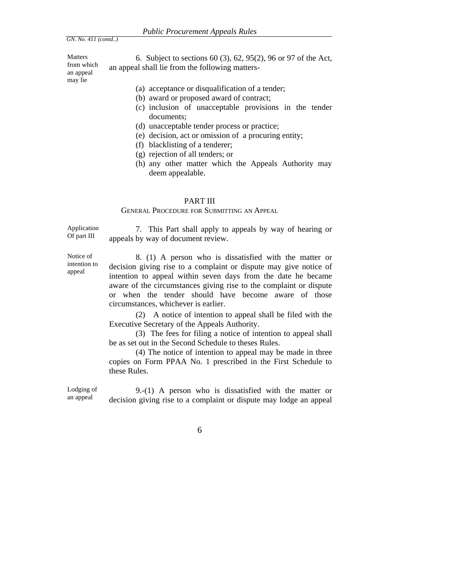Matters from which an appeal may lie

6. Subject to sections 60 (3), 62, 95(2), 96 or 97 of the Act, an appeal shall lie from the following matters-

- (a) acceptance or disqualification of a tender;
- (b) award or proposed award of contract;
- (c) inclusion of unacceptable provisions in the tender documents;
- (d) unacceptable tender process or practice;
- (e) decision, act or omission of a procuring entity;
- (f) blacklisting of a tenderer;
- (g) rejection of all tenders; or
- (h) any other matter which the Appeals Authority may deem appealable.

#### PART III

#### GENERAL PROCEDURE FOR SUBMITTING AN APPEAL

Application<br>Of part III 7. This Part shall apply to appeals by way of hearing or appeals by way of document review.

Notice of intention to appeal

 8. (1) A person who is dissatisfied with the matter or decision giving rise to a complaint or dispute may give notice of intention to appeal within seven days from the date he became aware of the circumstances giving rise to the complaint or dispute or when the tender should have become aware of those circumstances, whichever is earlier.

 (2) A notice of intention to appeal shall be filed with the Executive Secretary of the Appeals Authority.

 (3) The fees for filing a notice of intention to appeal shall be as set out in the Second Schedule to theses Rules.

 (4) The notice of intention to appeal may be made in three copies on Form PPAA No. 1 prescribed in the First Schedule to these Rules.

Lodging of Lodging of  $\qquad 9-(1)$  A person who is dissatisfied with the matter or an appeal decision giving rise to a complaint or dispute may lodge an appeal decision giving rise to a complaint or dispute may lodge an appeal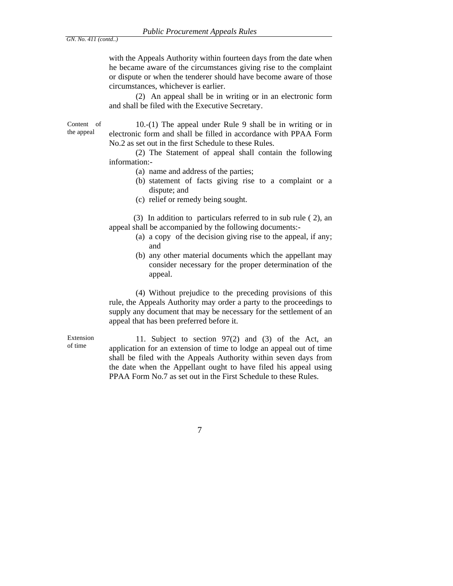with the Appeals Authority within fourteen days from the date when he became aware of the circumstances giving rise to the complaint or dispute or when the tenderer should have become aware of those circumstances, whichever is earlier.

 (2) An appeal shall be in writing or in an electronic form and shall be filed with the Executive Secretary.

Content of the appeal

Extension

10.-(1) The appeal under Rule 9 shall be in writing or in electronic form and shall be filled in accordance with PPAA Form No.2 as set out in the first Schedule to these Rules.

 (2) The Statement of appeal shall contain the following information:-

- (a) name and address of the parties;
- (b) statement of facts giving rise to a complaint or a dispute; and
- (c) relief or remedy being sought.

 (3) In addition to particulars referred to in sub rule ( 2), an appeal shall be accompanied by the following documents:-

- (a) a copy of the decision giving rise to the appeal, if any; and
- (b) any other material documents which the appellant may consider necessary for the proper determination of the appeal.

 (4) Without prejudice to the preceding provisions of this rule, the Appeals Authority may order a party to the proceedings to supply any document that may be necessary for the settlement of an appeal that has been preferred before it.

Extension 11. Subject to section  $97(2)$  and (3) of the Act, an of time or application for an autonomy of time to looke an annual out of time application for an extension of time to lodge an appeal out of time shall be filed with the Appeals Authority within seven days from the date when the Appellant ought to have filed his appeal using PPAA Form No.7 as set out in the First Schedule to these Rules.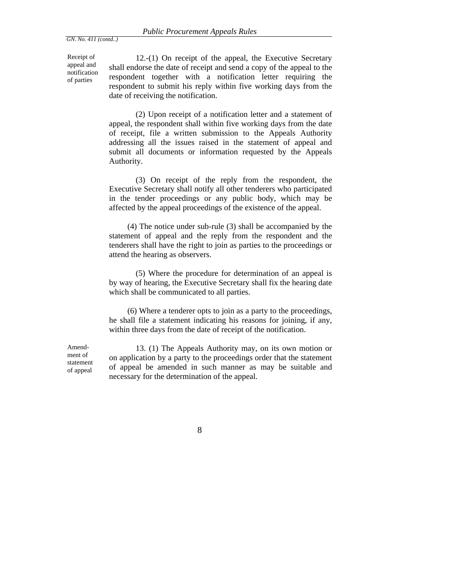Receipt of appeal and notification of parties

Amendment of statement of appeal

12.-(1) On receipt of the appeal, the Executive Secretary shall endorse the date of receipt and send a copy of the appeal to the respondent together with a notification letter requiring the respondent to submit his reply within five working days from the date of receiving the notification.

 (2) Upon receipt of a notification letter and a statement of appeal, the respondent shall within five working days from the date of receipt, file a written submission to the Appeals Authority addressing all the issues raised in the statement of appeal and submit all documents or information requested by the Appeals Authority.

 (3) On receipt of the reply from the respondent, the Executive Secretary shall notify all other tenderers who participated in the tender proceedings or any public body, which may be affected by the appeal proceedings of the existence of the appeal.

 (4) The notice under sub-rule (3) shall be accompanied by the statement of appeal and the reply from the respondent and the tenderers shall have the right to join as parties to the proceedings or attend the hearing as observers.

 (5) Where the procedure for determination of an appeal is by way of hearing, the Executive Secretary shall fix the hearing date which shall be communicated to all parties.

 (6) Where a tenderer opts to join as a party to the proceedings, he shall file a statement indicating his reasons for joining, if any, within three days from the date of receipt of the notification.

13. (1) The Appeals Authority may, on its own motion or on application by a party to the proceedings order that the statement of appeal be amended in such manner as may be suitable and necessary for the determination of the appeal.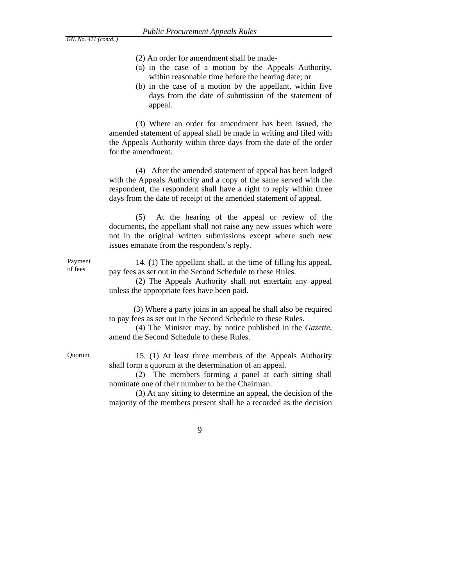- (2) An order for amendment shall be made-
- (a) in the case of a motion by the Appeals Authority, within reasonable time before the hearing date; or
- (b) in the case of a motion by the appellant, within five days from the date of submission of the statement of appeal.

 (3) Where an order for amendment has been issued, the amended statement of appeal shall be made in writing and filed with the Appeals Authority within three days from the date of the order for the amendment.

 (4) After the amended statement of appeal has been lodged with the Appeals Authority and a copy of the same served with the respondent, the respondent shall have a right to reply within three days from the date of receipt of the amended statement of appeal.

 (5) At the hearing of the appeal or review of the documents, the appellant shall not raise any new issues which were not in the original written submissions except where such new issues emanate from the respondent's reply.

14. **(**1) The appellant shall, at the time of filling his appeal, pay fees as set out in the Second Schedule to these Rules.

 (2) The Appeals Authority shall not entertain any appeal unless the appropriate fees have been paid.

 (3) Where a party joins in an appeal he shall also be required to pay fees as set out in the Second Schedule to these Rules.

 (4) The Minister may, by notice published in the *Gazette*, amend the Second Schedule to these Rules.

Payment of fees

Quorum 15. (1) At least three members of the Appeals Authority shall form a quorum at the determination of an appeal.

> (2) The members forming a panel at each sitting shall nominate one of their number to be the Chairman.

> (3) At any sitting to determine an appeal, the decision of the majority of the members present shall be a recorded as the decision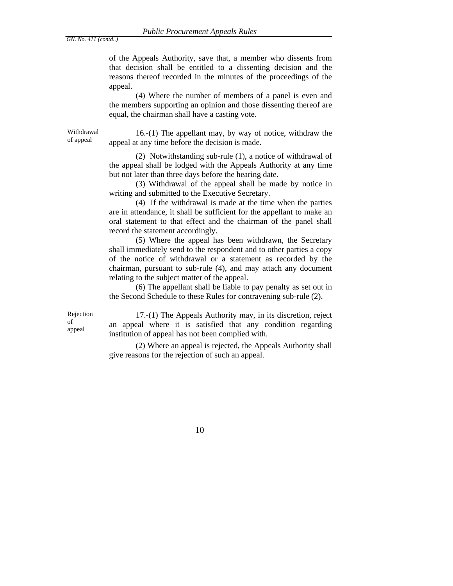of the Appeals Authority, save that, a member who dissents from that decision shall be entitled to a dissenting decision and the reasons thereof recorded in the minutes of the proceedings of the appeal.

 (4) Where the number of members of a panel is even and the members supporting an opinion and those dissenting thereof are equal, the chairman shall have a casting vote.

Withdrawal

Withdrawal  $16-(1)$  The appellant may, by way of notice, withdraw the of appeal  $\frac{16-(1)}{2}$  appeal of appeal  $\frac{16}{2}$  appeal. appeal at any time before the decision is made.

> (2) Notwithstanding sub-rule (1), a notice of withdrawal of the appeal shall be lodged with the Appeals Authority at any time but not later than three days before the hearing date.

> (3) Withdrawal of the appeal shall be made by notice in writing and submitted to the Executive Secretary.

> (4) If the withdrawal is made at the time when the parties are in attendance, it shall be sufficient for the appellant to make an oral statement to that effect and the chairman of the panel shall record the statement accordingly.

> (5) Where the appeal has been withdrawn, the Secretary shall immediately send to the respondent and to other parties a copy of the notice of withdrawal or a statement as recorded by the chairman, pursuant to sub-rule (4), and may attach any document relating to the subject matter of the appeal.

> (6) The appellant shall be liable to pay penalty as set out in the Second Schedule to these Rules for contravening sub-rule (2).

Rejection of appeal

17.-(1) The Appeals Authority may, in its discretion, reject an appeal where it is satisfied that any condition regarding institution of appeal has not been complied with.

 (2) Where an appeal is rejected, the Appeals Authority shall give reasons for the rejection of such an appeal.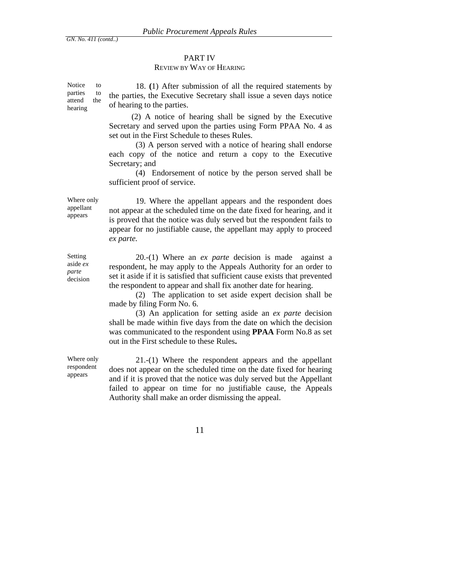## PART IV

## REVIEW BY WAY OF HEARING

Notice to parties to attend the hearing 18. **(**1) After submission of all the required statements by the parties, the Executive Secretary shall issue a seven days notice of hearing to the parties.

> (2) A notice of hearing shall be signed by the Executive Secretary and served upon the parties using Form PPAA No. 4 as set out in the First Schedule to theses Rules.

> (3) A person served with a notice of hearing shall endorse each copy of the notice and return a copy to the Executive Secretary; and

> (4) Endorsement of notice by the person served shall be sufficient proof of service.

Where only appellant appears

Setting aside *ex parte* decision

 19. Where the appellant appears and the respondent does not appear at the scheduled time on the date fixed for hearing, and it is proved that the notice was duly served but the respondent fails to appear for no justifiable cause, the appellant may apply to proceed *ex parte.*

 20.-(1) Where an *ex parte* decision is made against a respondent, he may apply to the Appeals Authority for an order to set it aside if it is satisfied that sufficient cause exists that prevented the respondent to appear and shall fix another date for hearing.

 (2) The application to set aside expert decision shall be made by filing Form No. 6.

 (3) An application for setting aside an *ex parte* decision shall be made within five days from the date on which the decision was communicated to the respondent using **PPAA** Form No.8 as set out in the First schedule to these Rules**.**

Where only respondent appears

 21.-(1) Where the respondent appears and the appellant does not appear on the scheduled time on the date fixed for hearing and if it is proved that the notice was duly served but the Appellant failed to appear on time for no justifiable cause, the Appeals Authority shall make an order dismissing the appeal.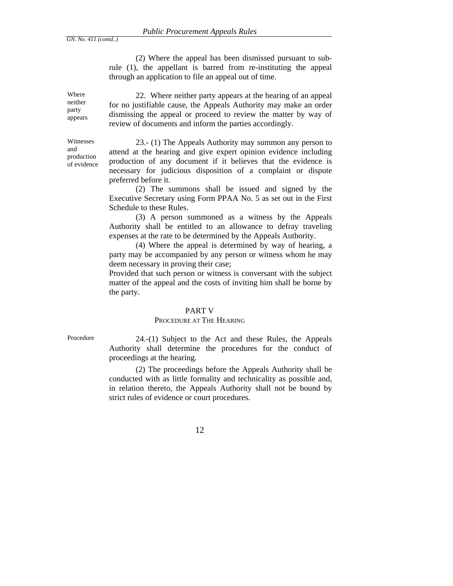(2) Where the appeal has been dismissed pursuant to subrule (1), the appellant is barred from re-instituting the appeal through an application to file an appeal out of time.

Where neither party appears

Witnesses and production of evidence

 22. Where neither party appears at the hearing of an appeal for no justifiable cause, the Appeals Authority may make an order dismissing the appeal or proceed to review the matter by way of review of documents and inform the parties accordingly.

23.- (1) The Appeals Authority may summon any person to attend at the hearing and give expert opinion evidence including production of any document if it believes that the evidence is necessary for judicious disposition of a complaint or dispute preferred before it.

 (2) The summons shall be issued and signed by the Executive Secretary using Form PPAA No. 5 as set out in the First Schedule to these Rules.

 (3) A person summoned as a witness by the Appeals Authority shall be entitled to an allowance to defray traveling expenses at the rate to be determined by the Appeals Authority.

 (4) Where the appeal is determined by way of hearing, a party may be accompanied by any person or witness whom he may deem necessary in proving their case;

Provided that such person or witness is conversant with the subject matter of the appeal and the costs of inviting him shall be borne by the party.

#### PART V

#### PROCEDURE AT THE HEARING

Procedure 24.-(1) Subject to the Act and these Rules, the Appeals Authority shall determine the procedures for the conduct of proceedings at the hearing.

> (2) The proceedings before the Appeals Authority shall be conducted with as little formality and technicality as possible and, in relation thereto, the Appeals Authority shall not be bound by strict rules of evidence or court procedures.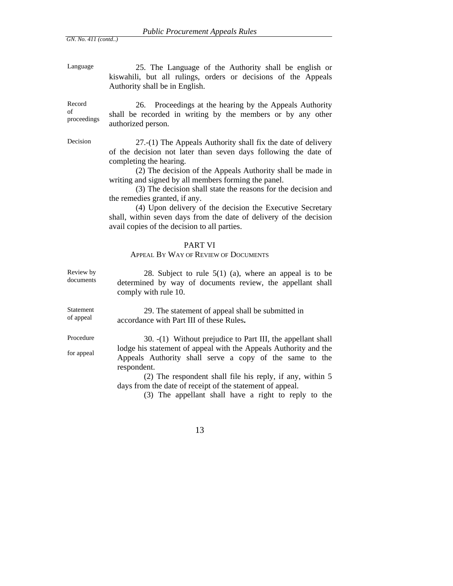Procedure

for appeal

Language 25. The Language of the Authority shall be english or kiswahili, but all rulings, orders or decisions of the Appeals Authority shall be in English.

Record of proceedings 26. Proceedings at the hearing by the Appeals Authority shall be recorded in writing by the members or by any other authorized person.

Decision 27.-(1) The Appeals Authority shall fix the date of delivery of the decision not later than seven days following the date of completing the hearing.

> (2) The decision of the Appeals Authority shall be made in writing and signed by all members forming the panel.

> (3) The decision shall state the reasons for the decision and the remedies granted, if any.

> (4) Upon delivery of the decision the Executive Secretary shall, within seven days from the date of delivery of the decision avail copies of the decision to all parties.

#### PART VI

#### APPEAL BY WAY OF REVIEW OF DOCUMENTS

Review by Review by 28. Subject to rule  $5(1)$  (a), where an appeal is to be documents determined by way of documents review, the appellant shall comply with rule 10.

Statement of appeal 29. The statement of appeal shall be submitted in accordance with Part III of these Rules**.**

> 30. -(1) Without prejudice to Part III, the appellant shall lodge his statement of appeal with the Appeals Authority and the Appeals Authority shall serve a copy of the same to the respondent.

 (2) The respondent shall file his reply, if any, within 5 days from the date of receipt of the statement of appeal.

(3) The appellant shall have a right to reply to the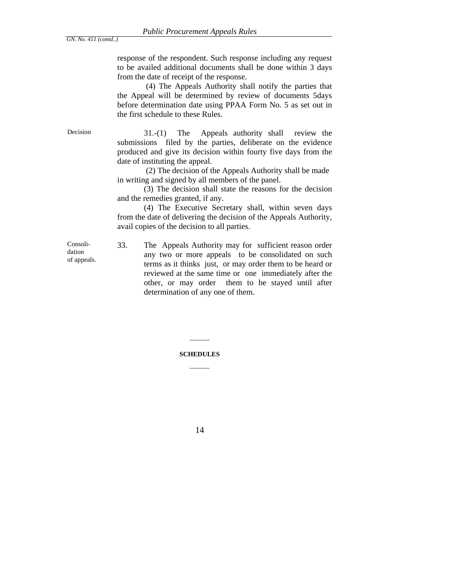response of the respondent. Such response including any request to be availed additional documents shall be done within 3 days from the date of receipt of the response.

 (4) The Appeals Authority shall notify the parties that the Appeal will be determined by review of documents 5days before determination date using PPAA Form No. 5 as set out in the first schedule to these Rules.

Decision 31.-(1) The Appeals authority shall review the submissions filed by the parties, deliberate on the evidence produced and give its decision within fourty five days from the date of instituting the appeal.

> (2) The decision of the Appeals Authority shall be made in writing and signed by all members of the panel.

 (3) The decision shall state the reasons for the decision and the remedies granted, if any.

 (4) The Executive Secretary shall, within seven days from the date of delivering the decision of the Appeals Authority, avail copies of the decision to all parties.

Consolidation of appeals. 33. The Appeals Authority may for sufficient reason order any two or more appeals to be consolidated on such terms as it thinks just, or may order them to be heard or reviewed at the same time or one immediately after the other, or may order them to be stayed until after determination of any one of them.

# **SCHEDULES**   $\overline{\phantom{a}}$

 $\overline{\phantom{a}}$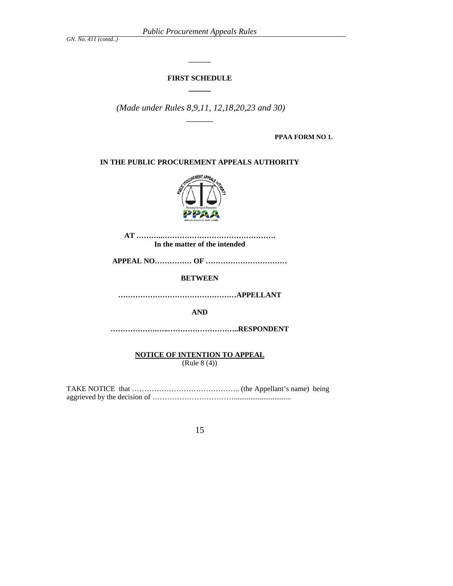## **FIRST SCHEDULE \_\_\_\_\_**

 $\overline{\phantom{a}}$ 

 *(Made under Rules 8,9,11, 12,18,20,23 and 30) \_\_\_\_\_\_* 

**PPAA FORM NO 1.** 

**IN THE PUBLIC PROCUREMENT APPEALS AUTHORITY** 



**AT ………..………………………………………. In the matter of the intended** 

**APPEAL NO…………… OF ……………………………** 

**BETWEEN** 

**…………………………………………APPELLANT** 

**AND** 

**……………….…..………………………..RESPONDENT** 

**NOTICE OF INTENTION TO APPEAL** (Rule 8 (4))

TAKE NOTICE that …………………………………….. (the Appellant's name) being aggrieved by the decision of ……………………………...............................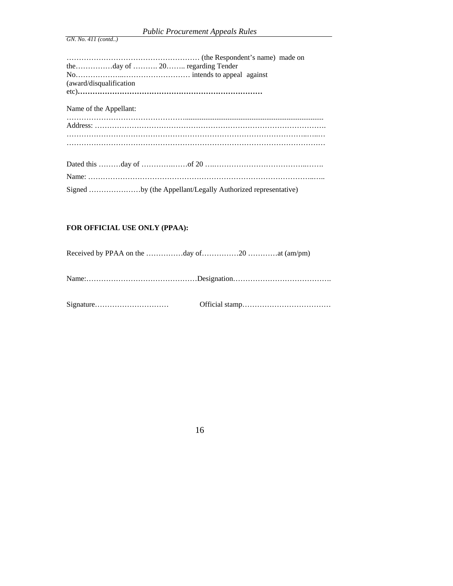| <b>Public Procurement Appeals Rules</b> |  |
|-----------------------------------------|--|
|-----------------------------------------|--|

| (award/disqualification) |                                                             |
|--------------------------|-------------------------------------------------------------|
|                          |                                                             |
| Name of the Appellant:   |                                                             |
|                          |                                                             |
|                          |                                                             |
|                          |                                                             |
|                          |                                                             |
|                          |                                                             |
|                          |                                                             |
|                          | Signed by (the Appellant/Legally Authorized representative) |

# **FOR OFFICIAL USE ONLY (PPAA):**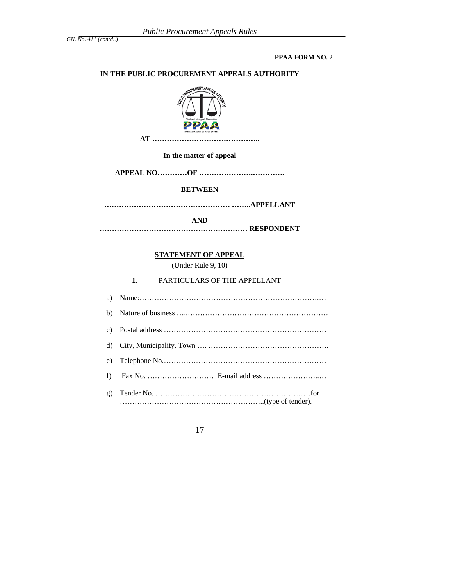**PPAA FORM NO. 2** 

#### **IN THE PUBLIC PROCUREMENT APPEALS AUTHORITY**



**In the matter of appeal** 

**APPEAL NO…………OF ………………….………….** 

#### **BETWEEN**

**…………………………………………… ……..APPELLANT** 

**AND** 

**…………………………………………………… RESPONDENT** 

#### **STATEMENT OF APPEAL**

(Under Rule 9, 10)

**1.** PARTICULARS OF THE APPELLANT

a) Name:……………………………………………………………….… b) Nature of business …..………………………………………………… c) Postal address ………………………………………………………… d) City, Municipality, Town …. …………………………………………. e) Telephone No.………………………………………………………… f) Fax No. ……………………… E-mail address …………………..… g) Tender No. ………………………………………………………for …………………………………………………..(type of tender).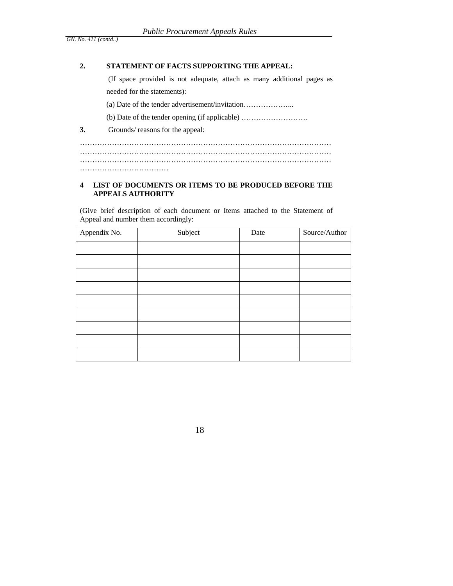## **2. STATEMENT OF FACTS SUPPORTING THE APPEAL:**

 (If space provided is not adequate, attach as many additional pages as needed for the statements):

(a) Date of the tender advertisement/invitation………………...

(b) Date of the tender opening (if applicable) ………………………

**3.** Grounds/ reasons for the appeal:

………………………………………………………………………………………… ………………………………………………………………………………………… ………………………………………………………………………………………… ………………………………

## **4 LIST OF DOCUMENTS OR ITEMS TO BE PRODUCED BEFORE THE APPEALS AUTHORITY**

(Give brief description of each document or Items attached to the Statement of Appeal and number them accordingly:

| Appendix No. | Subject | Date | Source/Author |
|--------------|---------|------|---------------|
|              |         |      |               |
|              |         |      |               |
|              |         |      |               |
|              |         |      |               |
|              |         |      |               |
|              |         |      |               |
|              |         |      |               |
|              |         |      |               |
|              |         |      |               |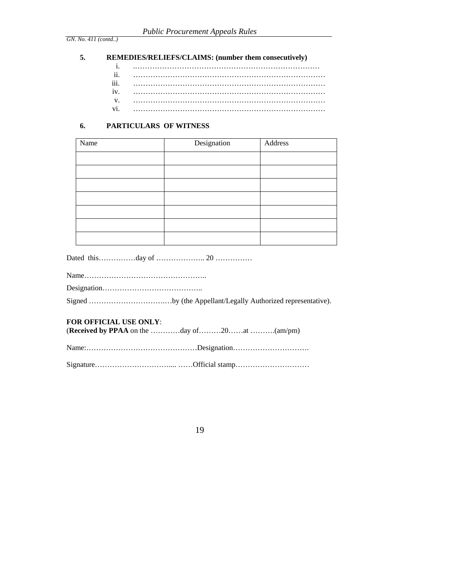#### **5. REMEDIES/RELIEFS/CLAIMS: (number them consecutively)**

i. .………………………………………………………………… ii. …………………………………………………………………… iii. …………………………………………………………………… iv. …………………………………………………………………… v. …………………………………………………………………… vi. ……………………………………………………………………

#### **6. PARTICULARS OF WITNESS**

| Name | Designation | Address |
|------|-------------|---------|
|      |             |         |
|      |             |         |
|      |             |         |
|      |             |         |
|      |             |         |
|      |             |         |
|      |             |         |

Dated this……………day of ……………….. 20 ……………

Name………………………………………….. Designation………………………………….. Signed ………………………….…by (the Appellant/Legally Authorized representative). **FOR OFFICIAL USE ONLY**: (**Received by PPAA** on the …………day of………20……at ……….(am/pm) Name:………………………………………Designation………………………….

Signature………………………….... ……Official stamp…………………………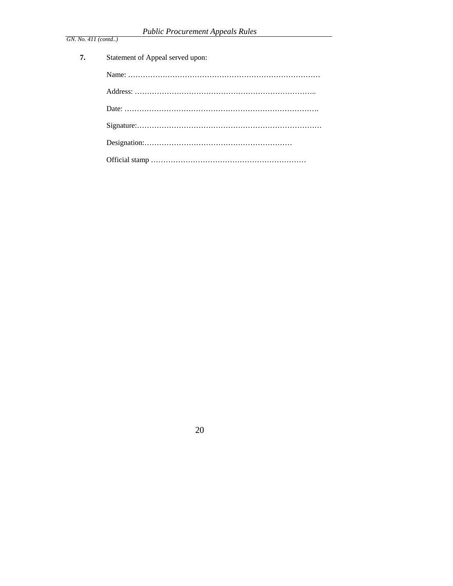| 7. | Statement of Appeal served upon: |
|----|----------------------------------|
|    |                                  |
|    |                                  |
|    |                                  |
|    |                                  |
|    |                                  |
|    |                                  |
|    |                                  |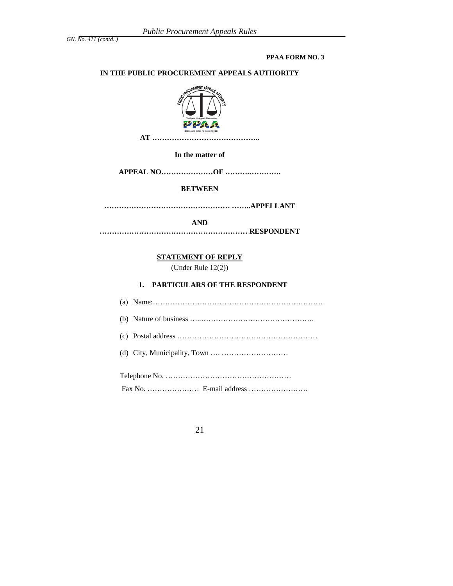#### **PPAA FORM NO. 3**

## **IN THE PUBLIC PROCUREMENT APPEALS AUTHORITY**



#### **In the matter of**

**APPEAL NO…………………OF ……….………….** 

## **BETWEEN**

**…………………………………………… ……..APPELLANT** 

**AND** 

**…………………………………………………… RESPONDENT** 

## **STATEMENT OF REPLY**

(Under Rule 12(2))

**1. PARTICULARS OF THE RESPONDENT** 

| (d) City, Municipality, Town $\dots \dots \dots \dots \dots \dots \dots \dots$ |
|--------------------------------------------------------------------------------|
|                                                                                |
|                                                                                |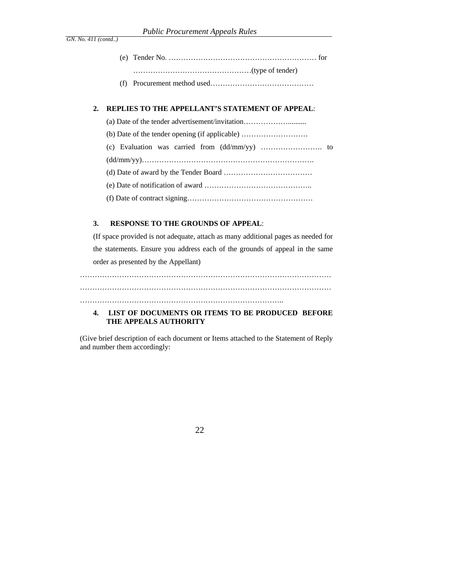## **2. REPLIES TO THE APPELLANT'S STATEMENT OF APPEAL**:

| (a) Date of the tender advertisement/invitation                                                |
|------------------------------------------------------------------------------------------------|
| (b) Date of the tender opening (if applicable) $\dots\dots\dots\dots\dots\dots\dots\dots\dots$ |
|                                                                                                |
|                                                                                                |
|                                                                                                |
|                                                                                                |
|                                                                                                |

#### **3. RESPONSE TO THE GROUNDS OF APPEAL**:

(If space provided is not adequate, attach as many additional pages as needed for the statements. Ensure you address each of the grounds of appeal in the same order as presented by the Appellant)

………………………………………………………………………………………… ………………………………………………………………………………………… ………………………………………………………………………..

## **4. LIST OF DOCUMENTS OR ITEMS TO BE PRODUCED BEFORE THE APPEALS AUTHORITY**

(Give brief description of each document or Items attached to the Statement of Reply and number them accordingly: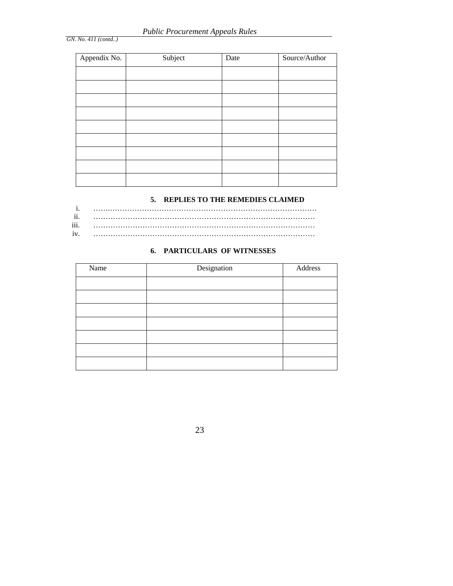| Appendix No. | Subject | Date | Source/Author |
|--------------|---------|------|---------------|
|              |         |      |               |
|              |         |      |               |
|              |         |      |               |
|              |         |      |               |
|              |         |      |               |
|              |         |      |               |
|              |         |      |               |
|              |         |      |               |
|              |         |      |               |

## **5. REPLIES TO THE REMEDIES CLAIMED**

| $\cdot$ $\cdot$ |  |
|-----------------|--|
| $\cdots$<br>111 |  |
| 1V              |  |

# **6. PARTICULARS OF WITNESSES**

| Name | Designation | Address |
|------|-------------|---------|
|      |             |         |
|      |             |         |
|      |             |         |
|      |             |         |
|      |             |         |
|      |             |         |
|      |             |         |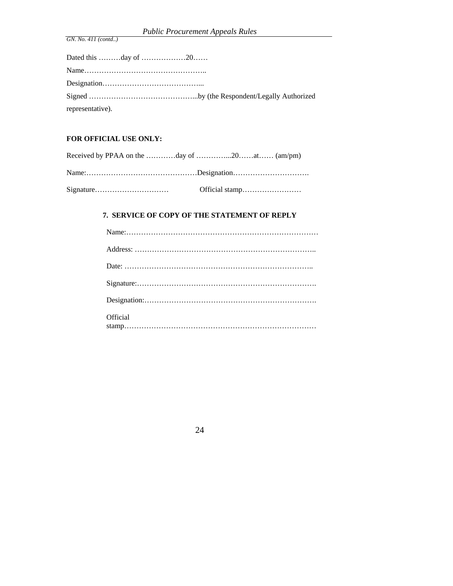| representative). |  |
|------------------|--|

## **FOR OFFICIAL USE ONLY:**

| Received by PPAA on the day of 20at (am/pm) |  |
|---------------------------------------------|--|
|                                             |  |
|                                             |  |

## **7. SERVICE OF COPY OF THE STATEMENT OF REPLY**

| Official |
|----------|

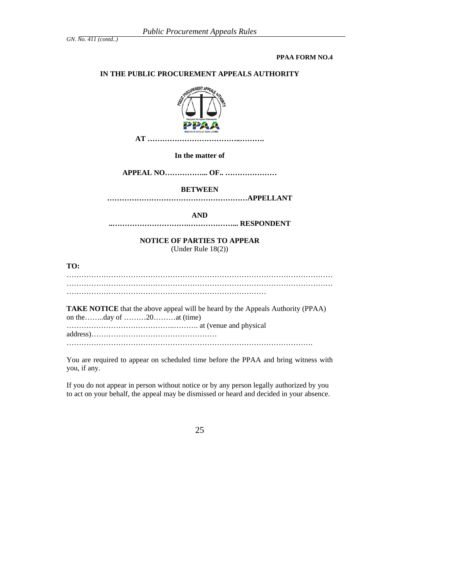**PPAA FORM NO.4** 

#### **IN THE PUBLIC PROCUREMENT APPEALS AUTHORITY**



**In the matter of** 

**APPEAL NO……………... OF.. …………………** 

#### **BETWEEN**

**…………………………………………………APPELLANT** 

**AND** 

**..………………………….………………... RESPONDENT** 

**NOTICE OF PARTIES TO APPEAR**  (Under Rule 18(2))

**TO:** 

……………………………………………………………………………………………… ………………………………………………………………………

**TAKE NOTICE** that the above appeal will be heard by the Appeals Authority (PPAA) on the……..day of ………20………at (time) ……………………………………..………. at (venue and physical address)…………………………………………… ……………………………………………………………………………………….

You are required to appear on scheduled time before the PPAA and bring witness with you, if any.

If you do not appear in person without notice or by any person legally authorized by you to act on your behalf, the appeal may be dismissed or heard and decided in your absence.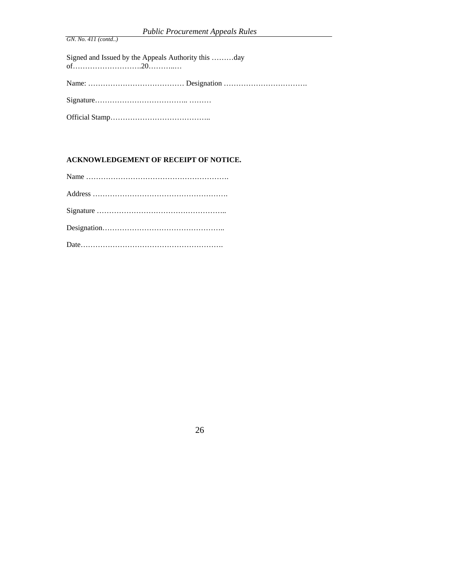Signed and Issued by the Appeals Authority this ………day of……………………….20………..… Name: ………………………………… Designation ……………………………. Signature……………………………….. ……… Official Stamp…………………………………..

## **ACKNOWLEDGEMENT OF RECEIPT OF NOTICE.**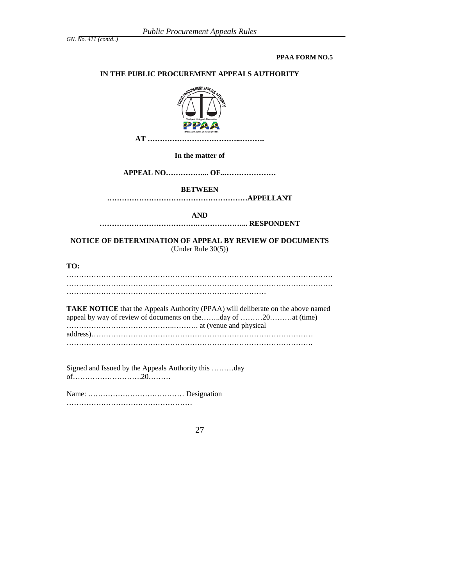#### **PPAA FORM NO.5**

#### **IN THE PUBLIC PROCUREMENT APPEALS AUTHORITY**



**In the matter of** 

**APPEAL NO……………... OF..…………………** 

#### **BETWEEN**

**…………………………………………………APPELLANT** 

**AND** 

**………………………………….………………... RESPONDENT** 

**NOTICE OF DETERMINATION OF APPEAL BY REVIEW OF DOCUMENTS**  (Under Rule 30(5))

**TO:** 

……………………………………………………………………………………………… ………………………………………………………………………

**TAKE NOTICE** that the Appeals Authority (PPAA) will deliberate on the above named appeal by way of review of documents on the……..day of ………20………at (time) ……………………………………..………. at (venue and physical address)……………………………………………………………………………… ……………………………………………………………………………………….

Signed and Issued by the Appeals Authority this ………day of……………………….20………

Name: ………………………………… Designation ……………………………………………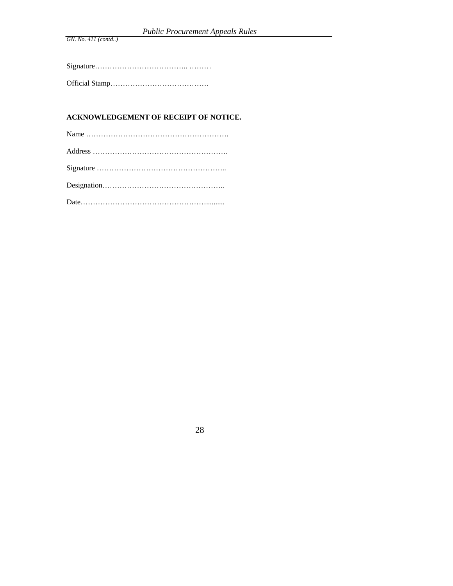# **ACKNOWLEDGEMENT OF RECEIPT OF NOTICE.**

| $Designation \dots \dots \dots \dots \dots \dots \dots \dots \dots \dots \dots \dots \dots \dots \dots$ |
|---------------------------------------------------------------------------------------------------------|
|                                                                                                         |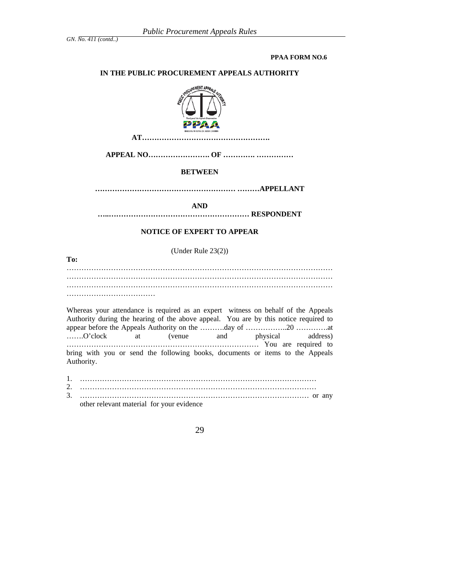#### **PPAA FORM NO.6**

## **IN THE PUBLIC PROCUREMENT APPEALS AUTHORITY**



 **AT…………………………………………….** 

**APPEAL NO……………………. OF …………. ……………** 

## **BETWEEN**

**………………………………………………… ………APPELLANT** 

**AND** 

**…..………………………………………………… RESPONDENT** 

## **NOTICE OF EXPERT TO APPEAR**

(Under Rule 23(2))

**To:**  ……………………………………………………………………………………………… ……………………………………………………………………………………………… ………………………………

Whereas your attendance is required as an expert witness on behalf of the Appeals Authority during the hearing of the above appeal. You are by this notice required to appear before the Appeals Authority on the ……….day of ……………..20 ………….at …….O'clock at (venue and physical address) …………………………………………………………………… You are required to bring with you or send the following books, documents or items to the Appeals Authority.

1. …………………………………………………………………………………… 2. …………………………………………………………………………………… 3. ………………………………………………………………………………… or any other relevant material for your evidence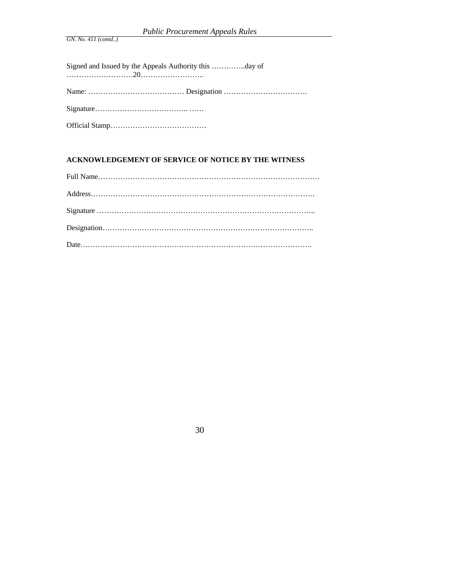# **ACKNOWLEDGEMENT OF SERVICE OF NOTICE BY THE WITNESS**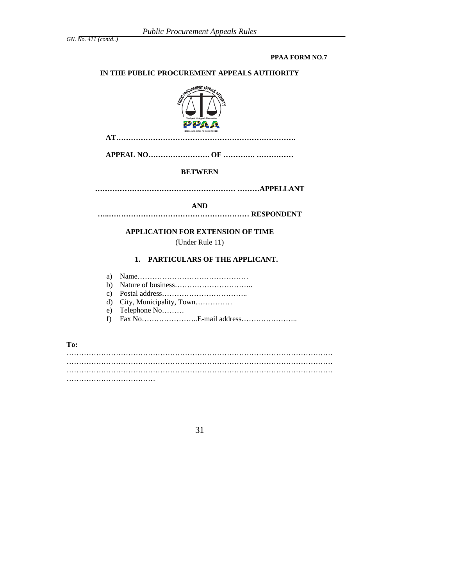#### **PPAA FORM NO.7**

## **IN THE PUBLIC PROCUREMENT APPEALS AUTHORITY**



 **AT……………………………………………………………….** 

**APPEAL NO……………………. OF …………. ……………** 

#### **BETWEEN**

**………………………………………………… ………APPELLANT** 

**AND** 

**…..………………………………………………… RESPONDENT** 

## **APPLICATION FOR EXTENSION OF TIME**

(Under Rule 11)

#### **1. PARTICULARS OF THE APPLICANT.**

- a) Name………………………………………
- b) Nature of business…………………………..
- c) Postal address……………………………..
- d) City, Municipality, Town……………
- e) Telephone No………
- f) Fax No…………………..E-mail address…………………..

**To:** 

……………………………………………………………………………………………… ……………………………………………………………………………………………… ……………………………………………………………………………………………… ……………………………………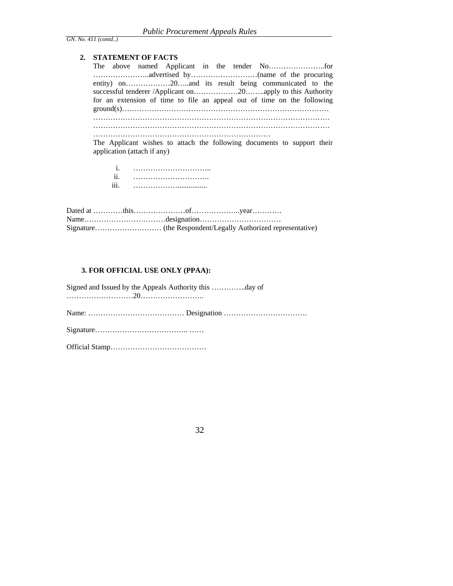#### **2. STATEMENT OF FACTS**

| for an extension of time to file an appeal out of time on the following |
|-------------------------------------------------------------------------|
|                                                                         |
|                                                                         |
|                                                                         |
| The Applicant wishes to attach the following documents to support their |

The Applicant wishes to attach the following documents to support their application (attach if any)

| . .<br>11.       |  |
|------------------|--|
| $\cdots$<br>111. |  |

## **3. FOR OFFICIAL USE ONLY (PPAA):**

Signed and Issued by the Appeals Authority this …………..day of ………………………20…………………….. Name: ………………………………… Designation ……………………………. Signature……………………………….. …… Official Stamp…………………………………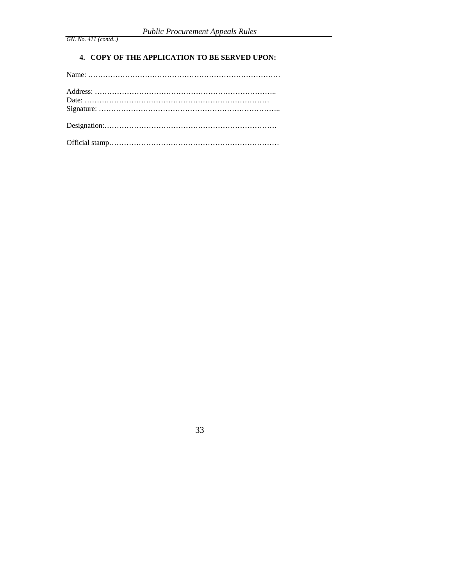## **4. COPY OF THE APPLICATION TO BE SERVED UPON:**

Official stamp……………………………………………………………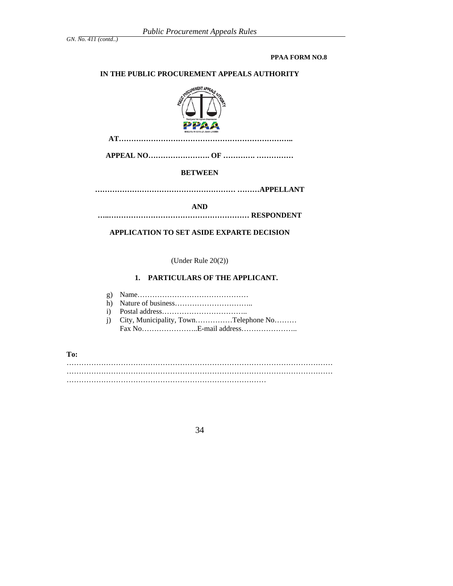#### **PPAA FORM NO.8**

#### **IN THE PUBLIC PROCUREMENT APPEALS AUTHORITY**



 **AT……………………………………………………………..** 

**APPEAL NO……………………. OF …………. ……………** 

## **BETWEEN**

**………………………………………………… ………APPELLANT** 

**AND** 

**…..………………………………………………… RESPONDENT** 

## **APPLICATION TO SET ASIDE EXPARTE DECISION**

(Under Rule 20(2))

#### **1. PARTICULARS OF THE APPLICANT.**

- g) Name………………………………………
- h) Nature of business…………………………..
- i) Postal address……………………………..
- j) City, Municipality, Town……………Telephone No……… Fax No…………………..E-mail address…………………..

#### **To:**

……………………………………………………………………………………………… ……………………………………………………………………………………………… ………………………………………………………………………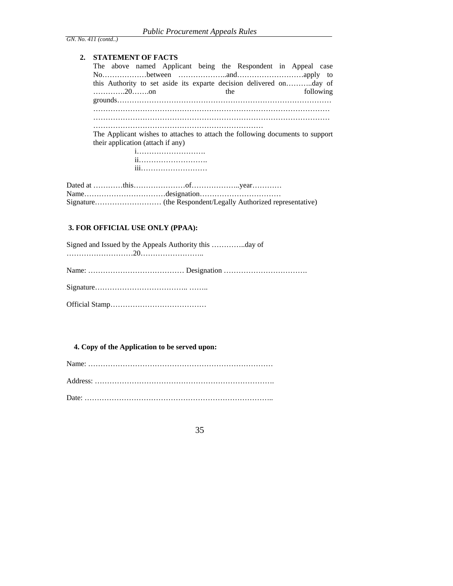## **2. STATEMENT OF FACTS**

|      |                                   |             |     | The above named Applicant being the Respondent in Appeal case                 |  |           |
|------|-----------------------------------|-------------|-----|-------------------------------------------------------------------------------|--|-----------|
|      |                                   |             |     |                                                                               |  |           |
|      |                                   |             |     | this Authority to set aside its exparte decision delivered onday of           |  |           |
|      |                                   |             | the |                                                                               |  | following |
|      |                                   |             |     |                                                                               |  |           |
|      |                                   |             |     |                                                                               |  |           |
|      |                                   |             |     |                                                                               |  |           |
|      |                                   |             |     |                                                                               |  |           |
|      |                                   |             |     | The Applicant wishes to attaches to attach the following documents to support |  |           |
|      | their application (attach if any) |             |     |                                                                               |  |           |
|      |                                   |             |     |                                                                               |  |           |
|      |                                   |             |     |                                                                               |  |           |
|      |                                   | iii         |     |                                                                               |  |           |
|      |                                   |             |     |                                                                               |  |           |
|      |                                   |             |     |                                                                               |  |           |
| Name |                                   | designation |     |                                                                               |  |           |

Name……………………………designation…………………………… Signature……………………… (the Respondent/Legally Authorized representative)

## **3. FOR OFFICIAL USE ONLY (PPAA):**

## **4. Copy of the Application to be served upon:**

Name: ………………………………………………………………… Address: ………………………………………………………………. Date: …………………………………………………………………..